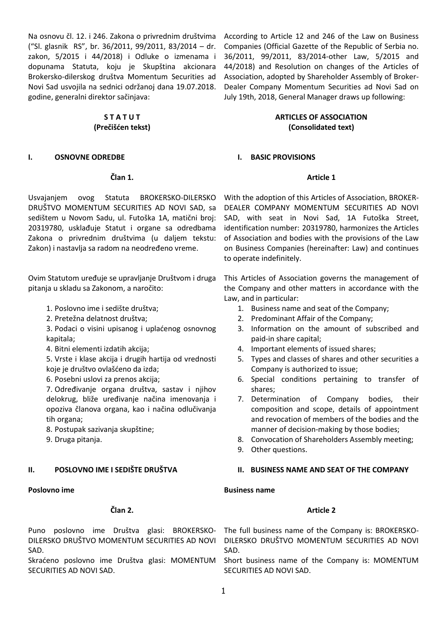Na osnovu čl. 12. i 246. Zakona o privrednim društvima ("Sl. glasnik RS", br. 36/2011, 99/2011, 83/2014 – dr. zakon, 5/2015 i 44/2018) i Odluke o izmenama i dopunama Statuta, koju je Skupština akcionara Brokersko-dilerskog društva Momentum Securities ad Novi Sad usvojila na sednici održanoj dana 19.07.2018. godine, generalni direktor sačinjava:

# **S T A T U T (Prečišćen tekst)**

#### **I. OSNOVNE ODREDBE**

#### **Član 1.**

Usvajanjem ovog Statuta BROKERSKO-DILERSKO DRUŠTVO MOMENTUM SECURITIES AD NOVI SAD, sa sedištem u Novom Sadu, ul. Futoška 1A, matični broj: 20319780, usklađuje Statut i organe sa odredbama Zakona o privrednim društvima (u daljem tekstu: Zakon) i nastavlja sa radom na neodređeno vreme.

Ovim Statutom uređuje se upravljanje Društvom i druga pitanja u skladu sa Zakonom, a naročito:

- 1. Poslovno ime i sedište društva;
- 2. Pretežna delatnost društva;
- 3. Podaci o visini upisanog i uplaćenog osnovnog kapitala;
- 4. Bitni elementi izdatih akcija;

5. Vrste i klase akcija i drugih hartija od vrednosti koje je društvo ovlašćeno da izda;

6. Posebni uslovi za prenos akcija;

7. Određivanje organa društva, sastav i njihov delokrug, bliže uređivanje načina imenovanja i opoziva članova organa, kao i načina odlučivanja tih organa;

- 8. Postupak sazivanja skupštine;
- 9. Druga pitanja.

## **II. POSLOVNO IME I SEDIŠTE DRUŠTVA**

#### **Poslovno ime**

#### **Član 2.**

DILERSKO DRUŠTVO MOMENTUM SECURITIES AD NOVI SAD.

Skraćeno poslovno ime Društva glasi: MOMENTUM SECURITIES AD NOVI SAD.

According to Article 12 and 246 of the Law on Business Companies (Official Gazette of the Republic of Serbia no. 36/2011, 99/2011, 83/2014-other Law, 5/2015 and 44/2018) and Resolution on changes of the Articles of Association, adopted by Shareholder Assembly of Broker-Dealer Company Momentum Securities ad Novi Sad on July 19th, 2018, General Manager draws up following:

# **ARTICLES OF ASSOCIATION (Consolidated text)**

#### **I. BASIC PROVISIONS**

#### **Article 1**

With the adoption of this Articles of Association, BROKER-DEALER COMPANY MOMENTUM SECURITIES AD NOVI SAD, with seat in Novi Sad, 1A Futoška Street, identification number: 20319780, harmonizes the Articles of Association and bodies with the provisions of the Law on Business Companies (hereinafter: Law) and continues to operate indefinitely.

This Articles of Association governs the management of the Company and other matters in accordance with the Law, and in particular:

- 1. Business name and seat of the Company;
- 2. Predominant Affair of the Company;
- 3. Information on the amount of subscribed and paid-in share capital;
- 4. Important elements of issued shares;
- 5. Types and classes of shares and other securities a Company is authorized to issue;
- 6. Special conditions pertaining to transfer of shares;
- 7. Determination of Company bodies, their composition and scope, details of appointment and revocation of members of the bodies and the manner of decision-making by those bodies;
- 8. Convocation of Shareholders Assembly meeting;
- 9. Other questions.

#### **II. BUSINESS NAME AND SEAT OF THE COMPANY**

#### **Business name**

#### **Article 2**

Puno poslovno ime Društva glasi: BROKERSKO- The full business name of the Company is: BROKERSKO-DILERSKO DRUŠTVO MOMENTUM SECURITIES AD NOVI SAD.

> Short business name of the Company is: MOMENTUM SECURITIES AD NOVI SAD.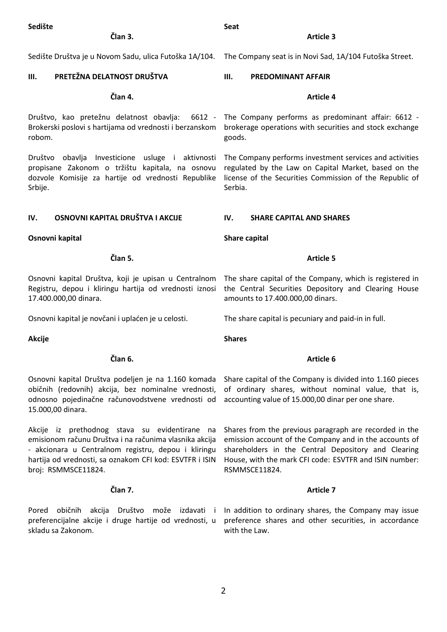| Sedište<br>Član 3.                                                                                                                                                                                                                               | <b>Seat</b><br><b>Article 3</b>                                                                                                                                                                                                                    |
|--------------------------------------------------------------------------------------------------------------------------------------------------------------------------------------------------------------------------------------------------|----------------------------------------------------------------------------------------------------------------------------------------------------------------------------------------------------------------------------------------------------|
| Sedište Društva je u Novom Sadu, ulica Futoška 1A/104.                                                                                                                                                                                           | The Company seat is in Novi Sad, 1A/104 Futoška Street.                                                                                                                                                                                            |
| PRETEŽNA DELATNOST DRUŠTVA<br>Ш.                                                                                                                                                                                                                 | Ш.<br><b>PREDOMINANT AFFAIR</b>                                                                                                                                                                                                                    |
| Član 4.                                                                                                                                                                                                                                          | <b>Article 4</b>                                                                                                                                                                                                                                   |
| Brokerski poslovi s hartijama od vrednosti i berzanskom<br>robom.                                                                                                                                                                                | Društvo, kao pretežnu delatnost obavlja: 6612 - The Company performs as predominant affair: 6612 -<br>brokerage operations with securities and stock exchange<br>goods.                                                                            |
| Društvo obavlja Investicione usluge i aktivnosti<br>propisane Zakonom o tržištu kapitala, na osnovu<br>dozvole Komisije za hartije od vrednosti Republike<br>Srbije.                                                                             | The Company performs investment services and activities<br>regulated by the Law on Capital Market, based on the<br>license of the Securities Commission of the Republic of<br>Serbia.                                                              |
| OSNOVNI KAPITAL DRUŠTVA I AKCIJE<br>IV.                                                                                                                                                                                                          | IV.<br><b>SHARE CAPITAL AND SHARES</b>                                                                                                                                                                                                             |
| Osnovni kapital                                                                                                                                                                                                                                  | Share capital                                                                                                                                                                                                                                      |
| Član 5.                                                                                                                                                                                                                                          | <b>Article 5</b>                                                                                                                                                                                                                                   |
| Osnovni kapital Društva, koji je upisan u Centralnom<br>Registru, depou i kliringu hartija od vrednosti iznosi<br>17.400.000,00 dinara.                                                                                                          | The share capital of the Company, which is registered in<br>the Central Securities Depository and Clearing House<br>amounts to 17.400.000,00 dinars.                                                                                               |
| Osnovni kapital je novčani i uplaćen je u celosti.                                                                                                                                                                                               | The share capital is pecuniary and paid-in in full.                                                                                                                                                                                                |
| <b>Akcije</b>                                                                                                                                                                                                                                    | <b>Shares</b>                                                                                                                                                                                                                                      |
| Član 6.                                                                                                                                                                                                                                          | Article 6                                                                                                                                                                                                                                          |
| Osnovni kapital Društva podeljen je na 1.160 komada<br>običnih (redovnih) akcija, bez nominalne vrednosti,<br>odnosno pojedinačne računovodstvene vrednosti od<br>15.000,00 dinara.                                                              | Share capital of the Company is divided into 1.160 pieces<br>of ordinary shares, without nominal value, that is,<br>accounting value of 15.000,00 dinar per one share.                                                                             |
| Akcije iz prethodnog stava su evidentirane na<br>emisionom računu Društva i na računima vlasnika akcija<br>- akcionara u Centralnom registru, depou i kliringu<br>hartija od vrednosti, sa oznakom CFI kod: ESVTFR i ISIN<br>broj: RSMMSCE11824. | Shares from the previous paragraph are recorded in the<br>emission account of the Company and in the accounts of<br>shareholders in the Central Depository and Clearing<br>House, with the mark CFI code: ESVTFR and ISIN number:<br>RSMMSCE11824. |
| Član 7.                                                                                                                                                                                                                                          | <b>Article 7</b>                                                                                                                                                                                                                                   |
| običnih<br>Pored<br>preferencijalne akcije i druge hartije od vrednosti, u<br>skladu sa Zakonom.                                                                                                                                                 | akcija Društvo može izdavati i Inaddition to ordinary shares, the Company may issue<br>preference shares and other securities, in accordance<br>with the Law.                                                                                      |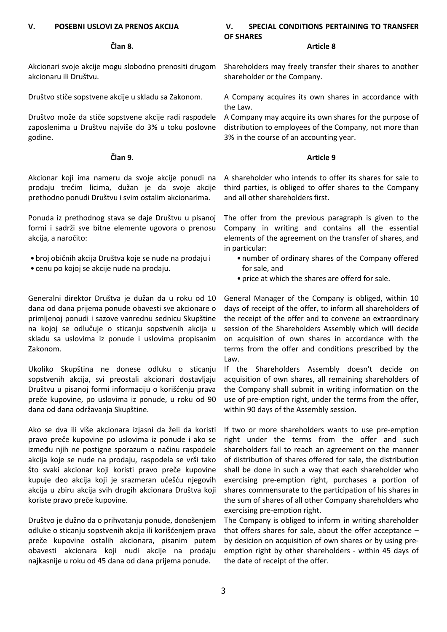## **V. POSEBNI USLOVI ZA PRENOS AKCIJA**

#### **Član 8.**

Akcionari svoje akcije mogu slobodno prenositi drugom akcionaru ili Društvu.

Društvo stiče sopstvene akcije u skladu sa Zakonom.

Društvo može da stiče sopstvene akcije radi raspodele zaposlenima u Društvu najviše do 3% u toku poslovne godine.

#### **Član 9.**

Akcionar koji ima nameru da svoje akcije ponudi na prodaju trećim licima, dužan je da svoje akcije prethodno ponudi Društvu i svim ostalim akcionarima.

Ponuda iz prethodnog stava se daje Društvu u pisanoj formi i sadrži sve bitne elemente ugovora o prenosu akcija, a naročito:

- broj običnih akcija Društva koje se nude na prodaju i
- cenu po kojoj se akcije nude na prodaju.

Generalni direktor Društva je dužan da u roku od 10 dana od dana prijema ponude obavesti sve akcionare o primljenoj ponudi i sazove vanrednu sednicu Skupštine na kojoj se odlučuje o sticanju sopstvenih akcija u skladu sa uslovima iz ponude i uslovima propisanim Zakonom.

Ukoliko Skupština ne donese odluku o sticanju sopstvenih akcija, svi preostali akcionari dostavljaju Društvu u pisanoj formi informaciju o korišćenju prava preče kupovine, po uslovima iz ponude, u roku od 90 dana od dana održavanja Skupštine.

Ako se dva ili više akcionara izjasni da želi da koristi pravo preče kupovine po uslovima iz ponude i ako se između njih ne postigne sporazum o načinu raspodele akcija koje se nude na prodaju, raspodela se vrši tako što svaki akcionar koji koristi pravo preče kupovine kupuje deo akcija koji je srazmeran učešću njegovih akcija u zbiru akcija svih drugih akcionara Društva koji koriste pravo preče kupovine.

Društvo je dužno da o prihvatanju ponude, donošenjem odluke o sticanju sopstvenih akcija ili korišćenjem prava preče kupovine ostalih akcionara, pisanim putem obavesti akcionara koji nudi akcije na prodaju najkasnije u roku od 45 dana od dana prijema ponude.

#### **V. SPECIAL CONDITIONS PERTAINING TO TRANSFER OF SHARES**

# **Article 8**

Shareholders may freely transfer their shares to another shareholder or the Company.

A Company acquires its own shares in accordance with the Law.

A Company may acquire its own shares for the purpose of distribution to employees of the Company, not more than 3% in the course of an accounting year.

#### **Article 9**

A shareholder who intends to offer its shares for sale to third parties, is obliged to offer shares to the Company and all other shareholders first.

The offer from the previous paragraph is given to the Company in writing and contains all the essential elements of the agreement on the transfer of shares, and in particular:

- number of ordinary shares of the Company offered for sale, and
- price at which the shares are offerd for sale.

General Manager of the Company is obliged, within 10 days of receipt of the offer, to inform all shareholders of the receipt of the offer and to convene an extraordinary session of the Shareholders Assembly which will decide on acquisition of own shares in accordance with the terms from the offer and conditions prescribed by the Law.

If the Shareholders Assembly doesn't decide on acquisition of own shares, all remaining shareholders of the Company shall submit in writing information on the use of pre-emption right, under the terms from the offer, within 90 days of the Assembly session.

If two or more shareholders wants to use pre-emption right under the terms from the offer and such shareholders fail to reach an agreement on the manner of distribution of shares offered for sale, the distribution shall be done in such a way that each shareholder who exercising pre-emption right, purchases a portion of shares commensurate to the participation of his shares in the sum of shares of all other Company shareholders who exercising pre-emption right.

The Company is obliged to inform in writing shareholder that offers shares for sale, about the offer acceptance  $$ by desicion on acquisition of own shares or by using preemption right by other shareholders - within 45 days of the date of receipt of the offer.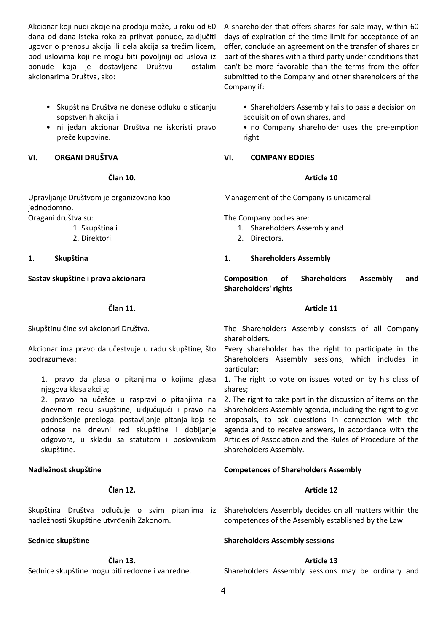Akcionar koji nudi akcije na prodaju može, u roku od 60 dana od dana isteka roka za prihvat ponude, zaključiti ugovor o prenosu akcija ili dela akcija sa trećim licem, pod uslovima koji ne mogu biti povoljniji od uslova iz ponude koja je dostavljena Društvu i ostalim akcionarima Društva, ako:

- Skupština Društva ne donese odluku o sticanju sopstvenih akcija i
- ni jedan akcionar Društva ne iskoristi pravo preče kupovine.

## **VI. ORGANI DRUŠTVA**

## **Član 10.**

Upravljanje Društvom je organizovano kao jednodomno. Oragani društva su:

1. Skupština i

2. Direktori.

**1. Skupština**

**Sastav skupštine i prava akcionara**

# **Član 11.**

Skupštinu čine svi akcionari Društva.

Akcionar ima pravo da učestvuje u radu skupštine, što podrazumeva:

1. pravo da glasa o pitanjima o kojima glasa njegova klasa akcija;

2. pravo na učešće u raspravi o pitanjima na dnevnom redu skupštine, uključujući i pravo na podnošenje predloga, postavljanje pitanja koja se odnose na dnevni red skupštine i dobijanje odgovora, u skladu sa statutom i poslovnikom skupštine.

# **Nadležnost skupštine**

## **Član 12.**

nadležnosti Skupštine utvrđenih Zakonom.

## **Sednice skupštine**

**Član 13.**

Sednice skupštine mogu biti redovne i vanredne.

A shareholder that offers shares for sale may, within 60 days of expiration of the time limit for acceptance of an offer, conclude an agreement on the transfer of shares or part of the shares with a third party under conditions that can't be more favorable than the terms from the offer submitted to the Company and other shareholders of the Company if:

• Shareholders Assembly fails to pass a decision on acquisition of own shares, and

• no Company shareholder uses the pre-emption right.

# **VI. COMPANY BODIES**

# **Article 10**

Management of the Company is unicameral.

The Company bodies are:

- 1. Shareholders Assembly and
- 2. Directors.

# **1. Shareholders Assembly**

**Composition of Shareholders Assembly and Shareholders' rights** 

## **Article 11**

The Shareholders Assembly consists of all Company shareholders.

Every shareholder has the right to participate in the Shareholders Assembly sessions, which includes in particular:

1. The right to vote on issues voted on by his class of shares;

2. The right to take part in the discussion of items on the Shareholders Assembly agenda, including the right to give proposals, to ask questions in connection with the agenda and to receive answers, in accordance with the Articles of Association and the Rules of Procedure of the Shareholders Assembly.

# **Competences of Shareholders Assembly**

# **Article 12**

Skupština Društva odlučuje o svim pitanjima iz Shareholders-Assembly-decides-on-all-matters-within-the competences of the Assembly established by the Law.

## **Shareholders Assembly sessions**

# **Article 13**

Shareholders Assembly sessions may be ordinary and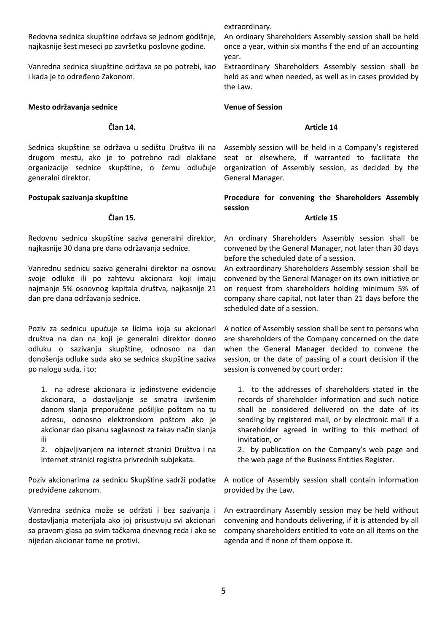Redovna sednica skupštine održava se jednom godišnje, najkasnije šest meseci po završetku poslovne godine.

Vanredna sednica skupštine održava se po potrebi, kao i kada je to određeno Zakonom.

#### **Mesto održavanja sednice**

# **Član 14.**

Sednica skupštine se održava u sedištu Društva ili na drugom mestu, ako je to potrebno radi olakšane organizacije sednice skupštine, o čemu odlučuje generalni direktor.

#### **Postupak sazivanja skupštine**

#### **Član 15.**

Redovnu sednicu skupštine saziva generalni direktor, najkasnije 30 dana pre dana održavanja sednice.

Vanrednu sednicu saziva generalni direktor na osnovu svoje odluke ili po zahtevu akcionara koji imaju najmanje 5% osnovnog kapitala društva, najkasnije 21 dan pre dana održavanja sednice.

Poziv za sednicu upućuje se licima koja su akcionari društva na dan na koji je generalni direktor doneo odluku o sazivanju skupštine, odnosno na dan donošenja odluke suda ako se sednica skupštine saziva po nalogu suda, i to:

1. na adrese akcionara iz jedinstvene evidencije akcionara, a dostavljanje se smatra izvršenim danom slanja preporučene pošiljke poštom na tu adresu, odnosno elektronskom poštom ako je akcionar dao pisanu saglasnost za takav način slanja ili

2. objavljivanjem na internet stranici Društva i na internet stranici registra privrednih subjekata.

Poziv akcionarima za sednicu Skupštine sadrži podatke predviđene zakonom.

Vanredna sednica može se održati i bez sazivanja i dostavljanja materijala ako joj prisustvuju svi akcionari sa pravom glasa po svim tačkama dnevnog reda i ako se nijedan akcionar tome ne protivi.

extraordinary.

An ordinary Shareholders Assembly session shall be held once a year, within six months f the end of an accounting year.

Extraordinary Shareholders Assembly session shall be held as and when needed, as well as in cases provided by the Law.

#### **Venue of Session**

# **Article 14**

Assembly session will be held in a Company's registered seat or elsewhere, if warranted to facilitate the organization of Assembly session, as decided by the General Manager.

**Procedure for convening the Shareholders Assembly session**

#### **Article 15**

An ordinary Shareholders Assembly session shall be convened by the General Manager, not later than 30 days before the scheduled date of a session.

An extraordinary Shareholders Assembly session shall be convened by the General Manager on its own initiative or on request from shareholders holding minimum 5% of company share capital, not later than 21 days before the scheduled date of a session.

A notice of Assembly session shall be sent to persons who are shareholders of the Company concerned on the date when the General Manager decided to convene the session, or the date of passing of a court decision if the session is convened by court order:

1. to the addresses of shareholders stated in the records of shareholder information and such notice shall be considered delivered on the date of its sending by registered mail, or by electronic mail if a shareholder agreed in writing to this method of invitation, or

2. by publication on the Company's web page and the web page of the Business Entities Register.

A notice of Assembly session shall contain information provided by the Law.

An extraordinary Assembly session may be held without convening and handouts delivering, if it is attended by all company shareholders entitled to vote on all items on the agenda and if none of them oppose it.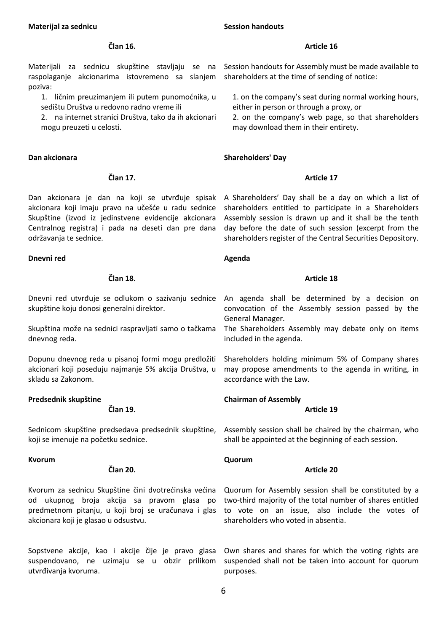#### **Materijal za sednicu**

#### **Session handouts**

## **Član 16.**

Materijali za sednicu skupštine stavljaju se na raspolaganje akcionarima istovremeno sa slanjem poziva:

1. ličnim preuzimanjem ili putem punomoćnika, u sedištu Društva u redovno radno vreme ili

2. na internet stranici Društva, tako da ih akcionari mogu preuzeti u celosti.

#### **Dan akcionara**

# **Član 17.**

Dan akcionara je dan na koji se utvrđuje spisak akcionara koji imaju pravo na učešće u radu sednice Skupštine (izvod iz jedinstvene evidencije akcionara Centralnog registra) i pada na deseti dan pre dana održavanja te sednice.

## **Dnevni red**

# **Član 18.**

Dnevni red utvrđuje se odlukom o sazivanju sednice skupštine koju donosi generalni direktor.

Skupština može na sednici raspravljati samo o tačkama dnevnog reda.

Dopunu dnevnog reda u pisanoj formi mogu predložiti akcionari koji poseduju najmanje 5% akcija Društva, u skladu sa Zakonom.

## **Predsednik skupštine**

**Član 19.**

Sednicom skupštine predsedava predsednik skupštine, koji se imenuje na početku sednice.

## **Kvorum**

# **Član 20.**

Kvorum za sednicu Skupštine čini dvotrećinska većina od ukupnog broja akcija sa pravom glasa po predmetnom pitanju, u koji broj se uračunava i glas akcionara koji je glasao u odsustvu.

Sopstvene akcije, kao i akcije čije je pravo glasa suspendovano, ne uzimaju se u obzir prilikom utvrđivanja kvoruma.

# **Article 16**

Session handouts for Assembly must be made available to shareholders at the time of sending of notice:

1. on the company's seat during normal working hours, either in person or through a proxy, or

2. on the company's web page, so that shareholders may download them in their entirety.

# **Shareholders' Day**

# **Article 17**

A Shareholders' Day shall be a day on which a list of shareholders entitled to participate in a Shareholders Assembly session is drawn up and it shall be the tenth day before the date of such session (excerpt from the shareholders register of the Central Securities Depository.

## **Agenda**

# **Article 18**

An agenda shall be determined by a decision on convocation of the Assembly session passed by the General Manager.

The Shareholders Assembly may debate only on items included in the agenda.

Shareholders holding minimum 5% of Company shares may propose amendments to the agenda in writing, in accordance with the Law.

# **Chairman of Assembly**

## **Article 19**

Assembly session shall be chaired by the chairman, who shall be appointed at the beginning of each session.

## **Quorum**

# **Article 20**

Quorum for Assembly session shall be constituted by a two-third majority of the total number of shares entitled to vote on an issue, also include the votes of shareholders who voted in absentia.

Own shares and shares for which the voting rights are suspended shall not be taken into account for quorum purposes.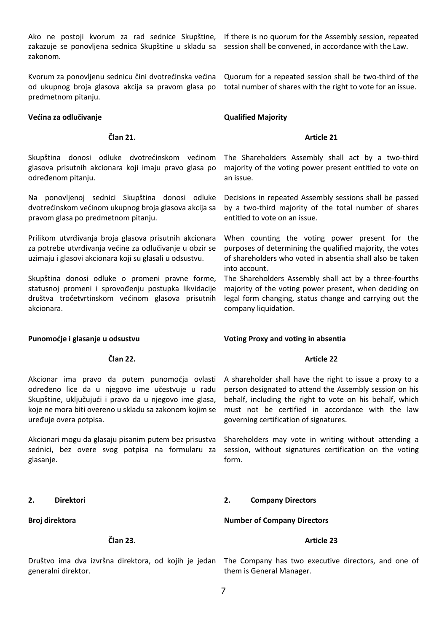Ako ne postoji kvorum za rad sednice Skupštine, zakazuje se ponovljena sednica Skupštine u skladu sa zakonom.

od ukupnog broja glasova akcija sa pravom glasa po predmetnom pitanju.

#### **Većina za odlučivanje**

#### **Član 21.**

Skupština donosi odluke dvotrećinskom većinom glasova prisutnih akcionara koji imaju pravo glasa po određenom pitanju.

Na ponovljenoj sednici Skupština donosi odluke dvotrećinskom većinom ukupnog broja glasova akcija sa pravom glasa po predmetnom pitanju.

Prilikom utvrđivanja broja glasova prisutnih akcionara za potrebe utvrđivanja većine za odlučivanje u obzir se uzimaju i glasovi akcionara koji su glasali u odsustvu.

Skupština donosi odluke o promeni pravne forme, statusnoj promeni i sprovođenju postupka likvidacije društva tročetvrtinskom većinom glasova prisutnih akcionara.

**Član 22.**

**Punomoćje i glasanje u odsustvu**

# If there is no quorum for the Assembly session, repeated session shall be convened, in accordance with the Law.

Kvorum za ponovljenu sednicu čini dvotrećinska većina Quorum for a repeated session shall be two-third of the total number of shares with the right to vote for an issue.

# **Qualified Majority**

#### **Article 21**

The Shareholders Assembly shall act by a two-third majority of the voting power present entitled to vote on an issue.

Decisions in repeated Assembly sessions shall be passed by a two-third majority of the total number of shares entitled to vote on an issue.

When counting the voting power present for the purposes of determining the qualified majority, the votes of shareholders who voted in absentia shall also be taken into account.

The Shareholders Assembly shall act by a three-fourths majority of the voting power present, when deciding on legal form changing, status change and carrying out the company liquidation.

## **Voting Proxy and voting in absentia**

## **Article 22**

Akcionar ima pravo da putem punomoćja ovlasti određeno lice da u njegovo ime učestvuje u radu Skupštine, uključujući i pravo da u njegovo ime glasa. koje ne mora biti overeno u skladu sa zakonom kojim se uređuje overa potpisa.

Akcionari mogu da glasaju pisanim putem bez prisustva sednici, bez overe svog potpisa na formularu za glasanje.

## **2. Direktori**

## **Broj direktora**

## **Član 23.**

generalni direktor.

A shareholder shall have the right to issue a proxy to a person designated to attend the Assembly session on his behalf, including the right to vote on his behalf, which must not be certified in accordance with the law governing certification of signatures.

Shareholders may vote in writing without attending a session, without signatures certification on the voting form.

## **2. Company Directors**

**Number of Company Directors**

## **Article 23**

Društvo ima dva izvršna direktora, od kojih je jedan The Company has two executive directors, and one of them is General Manager.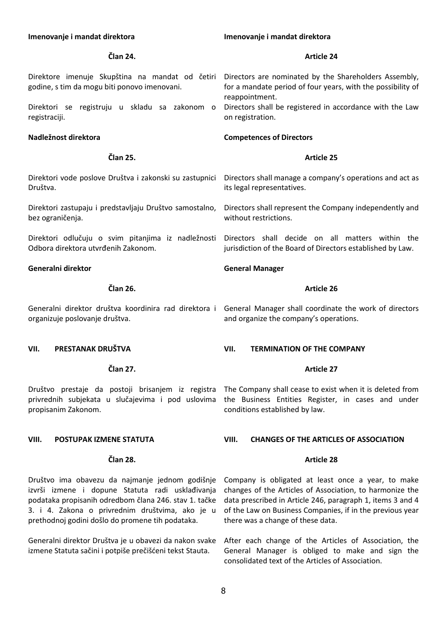#### **Imenovanje i mandat direktora Član 24.** Direktore imenuje Skupština na mandat od četiri godine, s tim da mogu biti ponovo imenovani. Direktori se registruju u skladu sa zakonom o registraciji. **Nadležnost direktora Član 25.** Direktori vode poslove Društva i zakonski su zastupnici Društva. Direktori zastupaju i predstavljaju Društvo samostalno, bez ograničenja. Direktori odlučuju o svim pitanjima iz nadležnosti Odbora direktora utvrđenih Zakonom. **Generalni direktor Član 26.** Generalni direktor društva koordinira rad direktora i General Manager shall coordinate the work of directors organizuje poslovanje društva. **VII. PRESTANAK DRUŠTVA Član 27.** Društvo prestaje da postoji brisanjem iz registra The Company shall cease to exist when it is deleted from privrednih subjekata u slučajevima i pod uslovima propisanim Zakonom. **VIII. POSTUPAK IZMENE STATUTA Imenovanje i mandat direktora Article 24** Directors are nominated by the Shareholders Assembly, for a mandate period of four years, with the possibility of reappointment. Directors shall be registered in accordance with the Law on registration. **Competences of Directors Article 25** Directors shall manage a company's operations and act as its legal representatives. Directors shall represent the Company independently and without restrictions. Directors shall decide on all matters within the jurisdiction of the Board of Directors established by Law. **General Manager Article 26** and organize the company's operations. **VII. TERMINATION OF THE COMPANY Article 27** the Business Entities Register, in cases and under conditions established by law. **VIII. CHANGES OF THE ARTICLES OF ASSOCIATION**

# **Član 28.**

izvrši izmene i dopune Statuta radi usklađivanja podataka propisanih odredbom člana 246. stav 1. tačke 3. i 4. Zakona o privrednim društvima, ako je u prethodnoj godini došlo do promene tih podataka.

Generalni direktor Društva je u obavezi da nakon svake izmene Statuta sačini i potpiše prečišćeni tekst Stauta.

#### **Article 28**

Društvo ima obavezu da najmanje jednom godišnje Company is obligated at least once a year, to make changes of the Articles of Association, to harmonize the data prescribed in Article 246, paragraph 1, items 3 and 4 of the Law on Business Companies, if in the previous year there was a change of these data.

> After each change of the Articles of Association, the General Manager is obliged to make and sign the consolidated text of the Articles of Association.